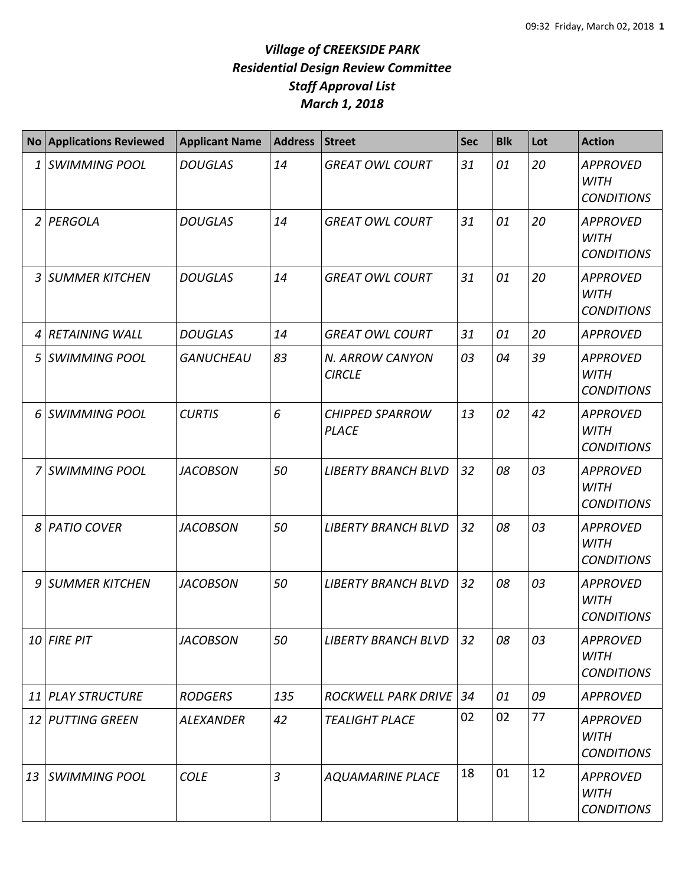|                | <b>No Applications Reviewed</b> | <b>Applicant Name</b> | <b>Address</b> | <b>Street</b>                          | <b>Sec</b> | <b>Blk</b> | Lot | <b>Action</b>                                       |
|----------------|---------------------------------|-----------------------|----------------|----------------------------------------|------------|------------|-----|-----------------------------------------------------|
| 1              | <b>SWIMMING POOL</b>            | <b>DOUGLAS</b>        | 14             | <b>GREAT OWL COURT</b>                 | 31         | 01         | 20  | <b>APPROVED</b><br><b>WITH</b><br><b>CONDITIONS</b> |
| $\overline{2}$ | PERGOLA                         | <b>DOUGLAS</b>        | 14             | <b>GREAT OWL COURT</b>                 | 31         | 01         | 20  | <b>APPROVED</b><br><b>WITH</b><br><b>CONDITIONS</b> |
| 3              | <b>SUMMER KITCHEN</b>           | <b>DOUGLAS</b>        | 14             | <b>GREAT OWL COURT</b>                 | 31         | 01         | 20  | <b>APPROVED</b><br><b>WITH</b><br><b>CONDITIONS</b> |
| 4              | <b>RETAINING WALL</b>           | <b>DOUGLAS</b>        | 14             | <b>GREAT OWL COURT</b>                 | 31         | 01         | 20  | <b>APPROVED</b>                                     |
| 5              | <b>SWIMMING POOL</b>            | <b>GANUCHEAU</b>      | 83             | N. ARROW CANYON<br><b>CIRCLE</b>       | 03         | 04         | 39  | <b>APPROVED</b><br><b>WITH</b><br><b>CONDITIONS</b> |
| 6              | <b>SWIMMING POOL</b>            | <b>CURTIS</b>         | 6              | <b>CHIPPED SPARROW</b><br><b>PLACE</b> | 13         | 02         | 42  | <b>APPROVED</b><br><b>WITH</b><br><b>CONDITIONS</b> |
| 7              | <b>SWIMMING POOL</b>            | <b>JACOBSON</b>       | 50             | <b>LIBERTY BRANCH BLVD</b>             | 32         | 08         | 03  | <b>APPROVED</b><br><b>WITH</b><br><b>CONDITIONS</b> |
| 8              | <b>PATIO COVER</b>              | <b>JACOBSON</b>       | 50             | <b>LIBERTY BRANCH BLVD</b>             | 32         | 08         | 03  | <b>APPROVED</b><br><b>WITH</b><br><b>CONDITIONS</b> |
| 9              | SUMMER KITCHEN                  | <b>JACOBSON</b>       | 50             | <b>LIBERTY BRANCH BLVD</b>             | 32         | 08         | 03  | <b>APPROVED</b><br><b>WITH</b><br><b>CONDITIONS</b> |
|                | 10 FIRE PIT                     | <b>JACOBSON</b>       | 50             | <b>LIBERTY BRANCH BLVD</b>             | 32         | 08         | 03  | <b>APPROVED</b><br><b>WITH</b><br><b>CONDITIONS</b> |
|                | 11 PLAY STRUCTURE               | <b>RODGERS</b>        | 135            | <b>ROCKWELL PARK DRIVE</b>             | 34         | 01         | 09  | <b>APPROVED</b>                                     |
|                | 12 PUTTING GREEN                | <b>ALEXANDER</b>      | 42             | <b>TEALIGHT PLACE</b>                  | 02         | 02         | 77  | <b>APPROVED</b><br><b>WITH</b><br><b>CONDITIONS</b> |
| 13             | <b>SWIMMING POOL</b>            | <b>COLE</b>           | $\overline{3}$ | <b>AQUAMARINE PLACE</b>                | 18         | 01         | 12  | <b>APPROVED</b><br><b>WITH</b><br><b>CONDITIONS</b> |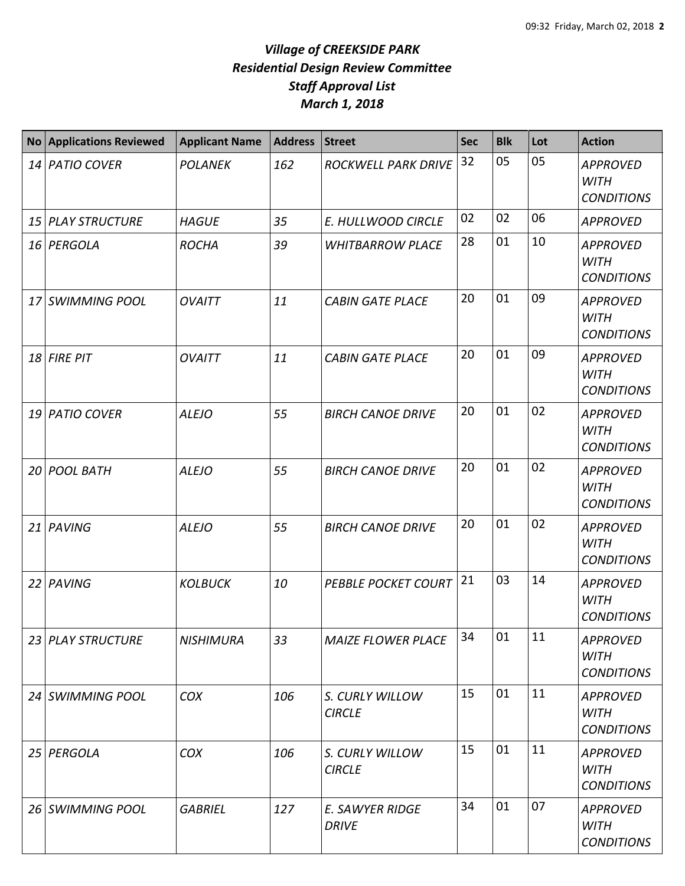|                 | <b>No Applications Reviewed</b> | <b>Applicant Name</b> | <b>Address</b> | <b>Street</b>                    | <b>Sec</b> | <b>Blk</b> | Lot | <b>Action</b>                                       |
|-----------------|---------------------------------|-----------------------|----------------|----------------------------------|------------|------------|-----|-----------------------------------------------------|
|                 | 14 PATIO COVER                  | <b>POLANEK</b>        | 162            | <b>ROCKWELL PARK DRIVE</b>       | 32         | 05         | 05  | <b>APPROVED</b><br><b>WITH</b><br><b>CONDITIONS</b> |
| 15 <sup>1</sup> | <b>PLAY STRUCTURE</b>           | <b>HAGUE</b>          | 35             | E. HULLWOOD CIRCLE               | 02         | 02         | 06  | <b>APPROVED</b>                                     |
|                 | 16 PERGOLA                      | <b>ROCHA</b>          | 39             | <b>WHITBARROW PLACE</b>          | 28         | 01         | 10  | <b>APPROVED</b><br><b>WITH</b><br><b>CONDITIONS</b> |
| 17              | <b>SWIMMING POOL</b>            | <b>OVAITT</b>         | 11             | <b>CABIN GATE PLACE</b>          | 20         | 01         | 09  | <b>APPROVED</b><br><b>WITH</b><br><b>CONDITIONS</b> |
|                 | $18$ FIRE PIT                   | <b>OVAITT</b>         | 11             | <b>CABIN GATE PLACE</b>          | 20         | 01         | 09  | <b>APPROVED</b><br><b>WITH</b><br><b>CONDITIONS</b> |
|                 | 19 PATIO COVER                  | <b>ALEJO</b>          | 55             | <b>BIRCH CANOE DRIVE</b>         | 20         | 01         | 02  | <b>APPROVED</b><br><b>WITH</b><br><b>CONDITIONS</b> |
| 20              | <b>POOL BATH</b>                | <b>ALEJO</b>          | 55             | <b>BIRCH CANOE DRIVE</b>         | 20         | 01         | 02  | <b>APPROVED</b><br><b>WITH</b><br><b>CONDITIONS</b> |
| 21              | PAVING                          | <b>ALEJO</b>          | 55             | <b>BIRCH CANOE DRIVE</b>         | 20         | 01         | 02  | <b>APPROVED</b><br><b>WITH</b><br><b>CONDITIONS</b> |
| 22              | PAVING                          | <b>KOLBUCK</b>        | 10             | <b>PEBBLE POCKET COURT</b>       | 21         | 03         | 14  | <b>APPROVED</b><br><b>WITH</b><br><b>CONDITIONS</b> |
|                 | 23 PLAY STRUCTURE               | <b>NISHIMURA</b>      | 33             | <b>MAIZE FLOWER PLACE</b>        | 34         | 01         | 11  | <b>APPROVED</b><br><b>WITH</b><br><b>CONDITIONS</b> |
|                 | 24 SWIMMING POOL                | <b>COX</b>            | 106            | S. CURLY WILLOW<br><b>CIRCLE</b> | 15         | 01         | 11  | <b>APPROVED</b><br><b>WITH</b><br><b>CONDITIONS</b> |
|                 | 25 PERGOLA                      | <b>COX</b>            | 106            | S. CURLY WILLOW<br><b>CIRCLE</b> | 15         | 01         | 11  | <b>APPROVED</b><br><b>WITH</b><br><b>CONDITIONS</b> |
|                 | 26 SWIMMING POOL                | <b>GABRIEL</b>        | 127            | E. SAWYER RIDGE<br><b>DRIVE</b>  | 34         | 01         | 07  | <b>APPROVED</b><br><b>WITH</b><br><b>CONDITIONS</b> |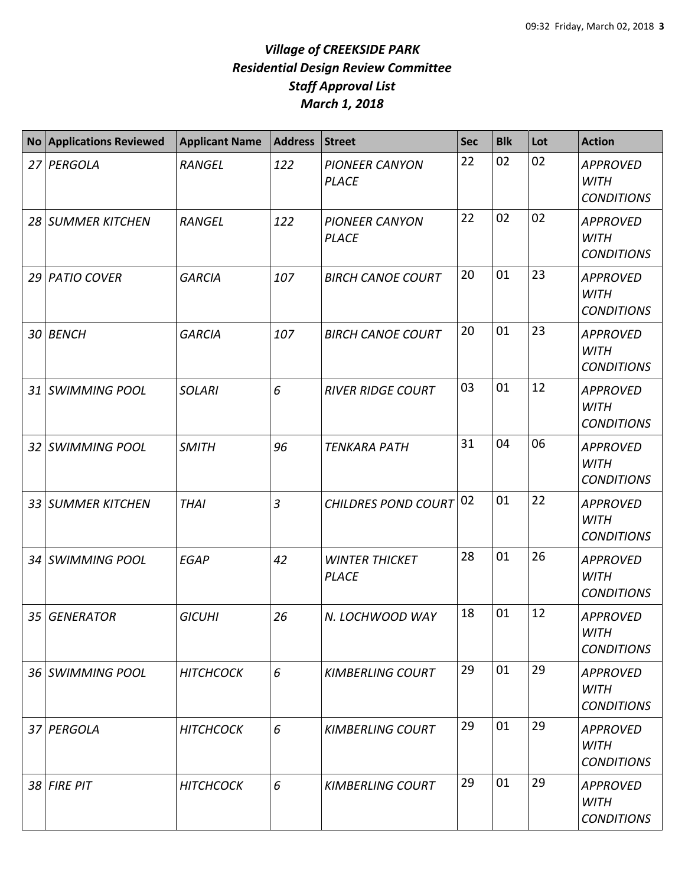|    | <b>No Applications Reviewed</b> | <b>Applicant Name</b> | <b>Address</b> | <b>Street</b>                         | <b>Sec</b> | <b>Blk</b> | Lot | <b>Action</b>                                       |
|----|---------------------------------|-----------------------|----------------|---------------------------------------|------------|------------|-----|-----------------------------------------------------|
| 27 | PERGOLA                         | <b>RANGEL</b>         | 122            | <b>PIONEER CANYON</b><br><b>PLACE</b> | 22         | 02         | 02  | <b>APPROVED</b><br><b>WITH</b><br><b>CONDITIONS</b> |
|    | 28 SUMMER KITCHEN               | <b>RANGEL</b>         | 122            | <b>PIONEER CANYON</b><br><b>PLACE</b> | 22         | 02         | 02  | <b>APPROVED</b><br><b>WITH</b><br><b>CONDITIONS</b> |
|    | 29 PATIO COVER                  | <b>GARCIA</b>         | 107            | <b>BIRCH CANOE COURT</b>              | 20         | 01         | 23  | <b>APPROVED</b><br><b>WITH</b><br><b>CONDITIONS</b> |
| 30 | <b>BENCH</b>                    | <b>GARCIA</b>         | 107            | <b>BIRCH CANOE COURT</b>              | 20         | 01         | 23  | <b>APPROVED</b><br><b>WITH</b><br><b>CONDITIONS</b> |
| 31 | <b>SWIMMING POOL</b>            | <b>SOLARI</b>         | 6              | <b>RIVER RIDGE COURT</b>              | 03         | 01         | 12  | <b>APPROVED</b><br><b>WITH</b><br><b>CONDITIONS</b> |
| 32 | <b>SWIMMING POOL</b>            | <b>SMITH</b>          | 96             | <b>TENKARA PATH</b>                   | 31         | 04         | 06  | <b>APPROVED</b><br><b>WITH</b><br><b>CONDITIONS</b> |
|    | 33 SUMMER KITCHEN               | <b>THAI</b>           | $\overline{3}$ | CHILDRES POND COURT 02                |            | 01         | 22  | <b>APPROVED</b><br><b>WITH</b><br><b>CONDITIONS</b> |
|    | 34 SWIMMING POOL                | <b>EGAP</b>           | 42             | <b>WINTER THICKET</b><br><b>PLACE</b> | 28         | 01         | 26  | <b>APPROVED</b><br><b>WITH</b><br><b>CONDITIONS</b> |
| 35 | <b>GENERATOR</b>                | <b>GICUHI</b>         | 26             | N. LOCHWOOD WAY                       | 18         | 01         | 12  | <b>APPROVED</b><br>WITH<br><b>CONDITIONS</b>        |
|    | 36 SWIMMING POOL                | <b>HITCHCOCK</b>      | 6              | <b>KIMBERLING COURT</b>               | 29         | 01         | 29  | <b>APPROVED</b><br>WITH<br><b>CONDITIONS</b>        |
|    | 37 PERGOLA                      | <b>HITCHCOCK</b>      | 6              | <b>KIMBERLING COURT</b>               | 29         | 01         | 29  | <b>APPROVED</b><br><b>WITH</b><br><b>CONDITIONS</b> |
|    | 38 FIRE PIT                     | <b>HITCHCOCK</b>      | 6              | <b>KIMBERLING COURT</b>               | 29         | 01         | 29  | <b>APPROVED</b><br><b>WITH</b><br><b>CONDITIONS</b> |